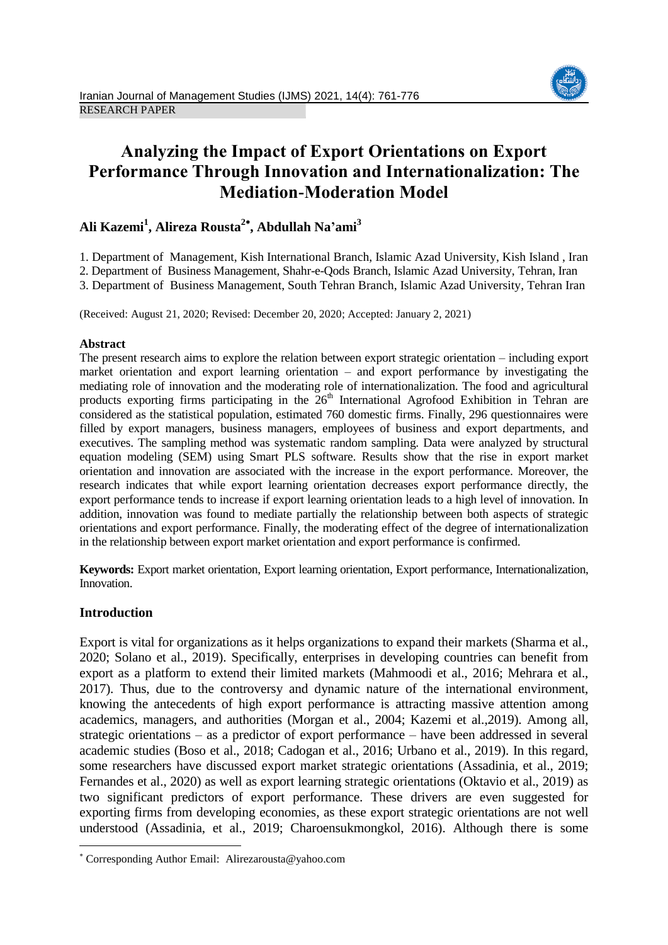

# **Analyzing the Impact of Export Orientations on Export Performance Through Innovation and Internationalization: The Mediation-Moderation Model**

# **Ali Kazemi<sup>1</sup> , Alireza Rousta<sup>2</sup> , Abdullah Na'ami<sup>3</sup>**

1. Department of Management, Kish International Branch, Islamic Azad University, Kish Island , Iran

2. Department of Business Management, Shahr-e-Qods Branch, Islamic Azad University, Tehran, Iran

3. Department of Business Management, South Tehran Branch, Islamic Azad University, Tehran Iran

(Received: August 21, 2020; Revised: December 20, 2020; Accepted: January 2, 2021)

# **Abstract**

The present research aims to explore the relation between export strategic orientation – including export market orientation and export learning orientation – and export performance by investigating the mediating role of innovation and the moderating role of internationalization. The food and agricultural products exporting firms participating in the  $26<sup>th</sup>$  International Agrofood Exhibition in Tehran are considered as the statistical population, estimated 760 domestic firms. Finally, 296 questionnaires were filled by export managers, business managers, employees of business and export departments, and executives. The sampling method was systematic random sampling. Data were analyzed by structural equation modeling (SEM) using Smart PLS software. Results show that the rise in export market orientation and innovation are associated with the increase in the export performance. Moreover, the research indicates that while export learning orientation decreases export performance directly, the export performance tends to increase if export learning orientation leads to a high level of innovation. In addition, innovation was found to mediate partially the relationship between both aspects of strategic orientations and export performance. Finally, the moderating effect of the degree of internationalization in the relationship between export market orientation and export performance is confirmed.

**Keywords:** Export market orientation, Export learning orientation, Export performance, Internationalization, Innovation.

# **Introduction**

 $\overline{\phantom{a}}$ 

Export is vital for organizations as it helps organizations to expand their markets (Sharma et al., 2020; Solano et al., 2019). Specifically, enterprises in developing countries can benefit from export as a platform to extend their limited markets (Mahmoodi et al., 2016; Mehrara et al., 2017). Thus, due to the controversy and dynamic nature of the international environment, knowing the antecedents of high export performance is attracting massive attention among academics, managers, and authorities (Morgan et al., 2004; Kazemi et al.,2019). Among all, strategic orientations – as a predictor of export performance – have been addressed in several academic studies (Boso et al., 2018; Cadogan et al., 2016; Urbano et al., 2019). In this regard, some researchers have discussed export market strategic orientations (Assadinia, et al., 2019; Fernandes et al., 2020) as well as export learning strategic orientations (Oktavio et al., 2019) as two significant predictors of export performance. These drivers are even suggested for exporting firms from developing economies, as these export strategic orientations are not well understood (Assadinia, et al., 2019; Charoensukmongkol, 2016). Although there is some

Corresponding Author Email: Alirezarousta@yahoo.com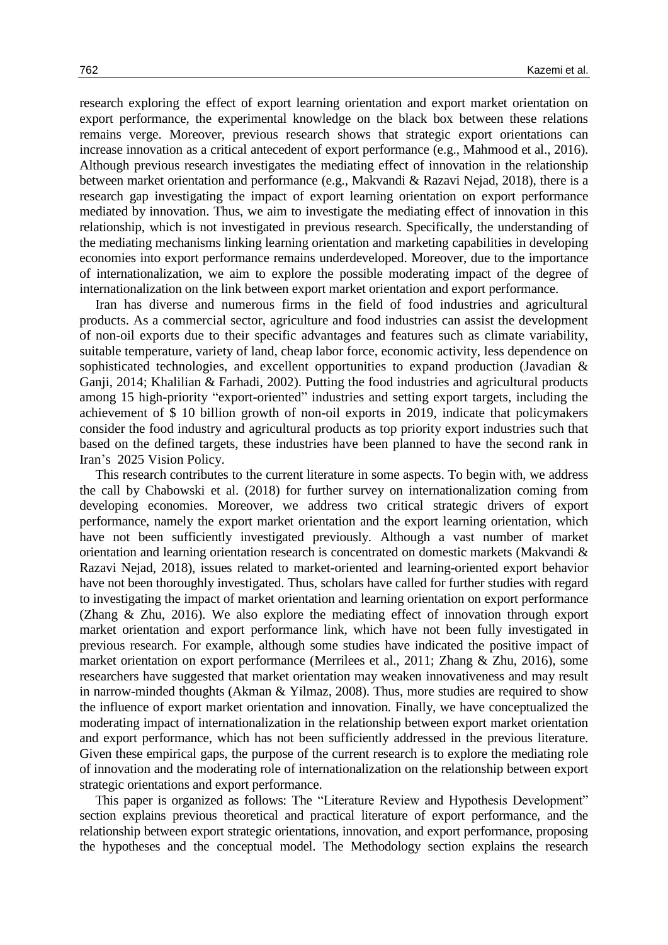research exploring the effect of export learning orientation and export market orientation on export performance, the experimental knowledge on the black box between these relations remains verge. Moreover, previous research shows that strategic export orientations can increase innovation as a critical antecedent of export performance (e.g., Mahmood et al., 2016). Although previous research investigates the mediating effect of innovation in the relationship between market orientation and performance (e.g., Makvandi & Razavi Nejad, 2018), there is a research gap investigating the impact of export learning orientation on export performance mediated by innovation. Thus, we aim to investigate the mediating effect of innovation in this relationship, which is not investigated in previous research. Specifically, the understanding of the mediating mechanisms linking learning orientation and marketing capabilities in developing economies into export performance remains underdeveloped. Moreover, due to the importance of internationalization, we aim to explore the possible moderating impact of the degree of internationalization on the link between export market orientation and export performance.

Iran has diverse and numerous firms in the field of food industries and agricultural products. As a commercial sector, agriculture and food industries can assist the development of non-oil exports due to their specific advantages and features such as climate variability, suitable temperature, variety of land, cheap labor force, economic activity, less dependence on sophisticated technologies, and excellent opportunities to expand production (Javadian & Ganji, 2014; Khalilian & Farhadi, 2002). Putting the food industries and agricultural products among 15 high-priority "export-oriented" industries and setting export targets, including the achievement of \$ 10 billion growth of non-oil exports in 2019, indicate that policymakers consider the food industry and agricultural products as top priority export industries such that based on the defined targets, these industries have been planned to have the second rank in Iran's 2025 Vision Policy.

This research contributes to the current literature in some aspects. To begin with, we address the call by Chabowski et al. (2018) for further survey on internationalization coming from developing economies. Moreover, we address two critical strategic drivers of export performance, namely the export market orientation and the export learning orientation, which have not been sufficiently investigated previously. Although a vast number of market orientation and learning orientation research is concentrated on domestic markets (Makvandi & Razavi Nejad, 2018), issues related to market-oriented and learning-oriented export behavior have not been thoroughly investigated. Thus, scholars have called for further studies with regard to investigating the impact of market orientation and learning orientation on export performance (Zhang & Zhu, 2016). We also explore the mediating effect of innovation through export market orientation and export performance link, which have not been fully investigated in previous research. For example, although some studies have indicated the positive impact of market orientation on export performance (Merrilees et al., 2011; Zhang & Zhu, 2016), some researchers have suggested that market orientation may weaken innovativeness and may result in narrow-minded thoughts (Akman & Yilmaz, 2008). Thus, more studies are required to show the influence of export market orientation and innovation. Finally, we have conceptualized the moderating impact of internationalization in the relationship between export market orientation and export performance, which has not been sufficiently addressed in the previous literature. Given these empirical gaps, the purpose of the current research is to explore the mediating role of innovation and the moderating role of internationalization on the relationship between export strategic orientations and export performance.

This paper is organized as follows: The "Literature Review and Hypothesis Development" section explains previous theoretical and practical literature of export performance, and the relationship between export strategic orientations, innovation, and export performance, proposing the hypotheses and the conceptual model. The Methodology section explains the research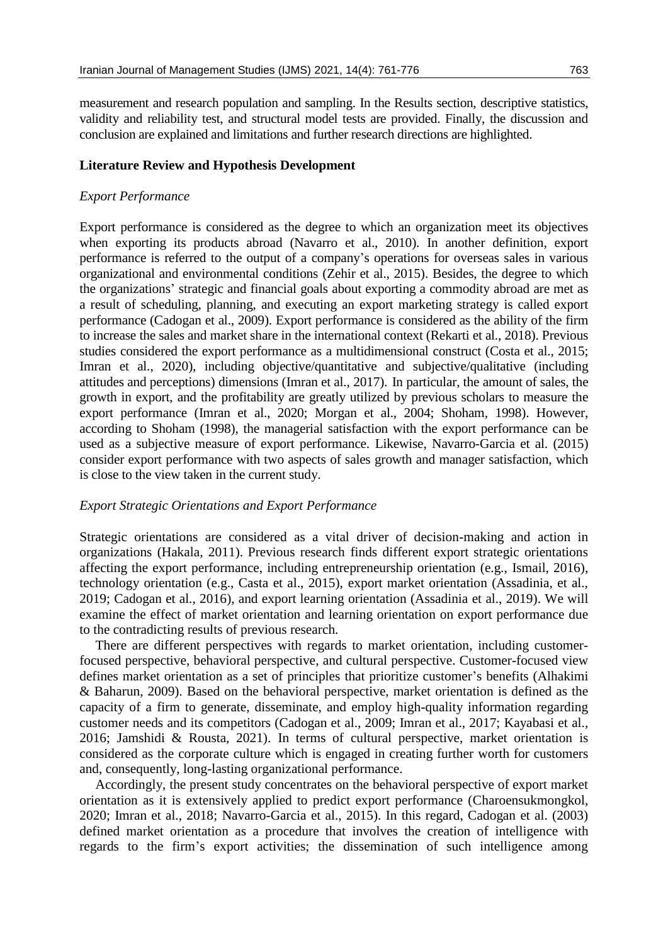measurement and research population and sampling. In the Results section, descriptive statistics, validity and reliability test, and structural model tests are provided. Finally, the discussion and conclusion are explained and limitations and further research directions are highlighted.

## **Literature Review and Hypothesis Development**

## *Export Performance*

Export performance is considered as the degree to which an organization meet its objectives when exporting its products abroad (Navarro et al., 2010). In another definition, export performance is referred to the output of a company's operations for overseas sales in various organizational and environmental conditions (Zehir et al., 2015). Besides, the degree to which the organizations' strategic and financial goals about exporting a commodity abroad are met as a result of scheduling, planning, and executing an export marketing strategy is called export performance (Cadogan et al., 2009). Export performance is considered as the ability of the firm to increase the sales and market share in the international context (Rekarti et al., 2018). Previous studies considered the export performance as a multidimensional construct (Costa et al., 2015; Imran et al., 2020), including objective/quantitative and subjective/qualitative (including attitudes and perceptions) dimensions (Imran et al., 2017). In particular, the amount of sales, the growth in export, and the profitability are greatly utilized by previous scholars to measure the export performance (Imran et al., 2020; Morgan et al., 2004; Shoham, 1998). However, according to Shoham (1998), the managerial satisfaction with the export performance can be used as a subjective measure of export performance. Likewise, Navarro-Garcia et al. (2015) consider export performance with two aspects of sales growth and manager satisfaction, which is close to the view taken in the current study.

## *Export Strategic Orientations and Export Performance*

Strategic orientations are considered as a vital driver of decision-making and action in organizations (Hakala, 2011). Previous research finds different export strategic orientations affecting the export performance, including entrepreneurship orientation (e.g., Ismail, 2016), technology orientation (e.g., Casta et al., 2015), export market orientation (Assadinia, et al., 2019; Cadogan et al., 2016), and export learning orientation (Assadinia et al., 2019). We will examine the effect of market orientation and learning orientation on export performance due to the contradicting results of previous research.

There are different perspectives with regards to market orientation, including customerfocused perspective, behavioral perspective, and cultural perspective. Customer-focused view defines market orientation as a set of principles that prioritize customer's benefits (Alhakimi & Baharun, 2009). Based on the behavioral perspective, market orientation is defined as the capacity of a firm to generate, disseminate, and employ high-quality information regarding customer needs and its competitors (Cadogan et al., 2009; Imran et al., 2017; Kayabasi et al., 2016; Jamshidi & Rousta, 2021). In terms of cultural perspective, market orientation is considered as the corporate culture which is engaged in creating further worth for customers and, consequently, long-lasting organizational performance.

Accordingly, the present study concentrates on the behavioral perspective of export market orientation as it is extensively applied to predict export performance (Charoensukmongkol, 2020; Imran et al., 2018; Navarro-Garcia et al., 2015). In this regard, Cadogan et al. (2003) defined market orientation as a procedure that involves the creation of intelligence with regards to the firm's export activities; the dissemination of such intelligence among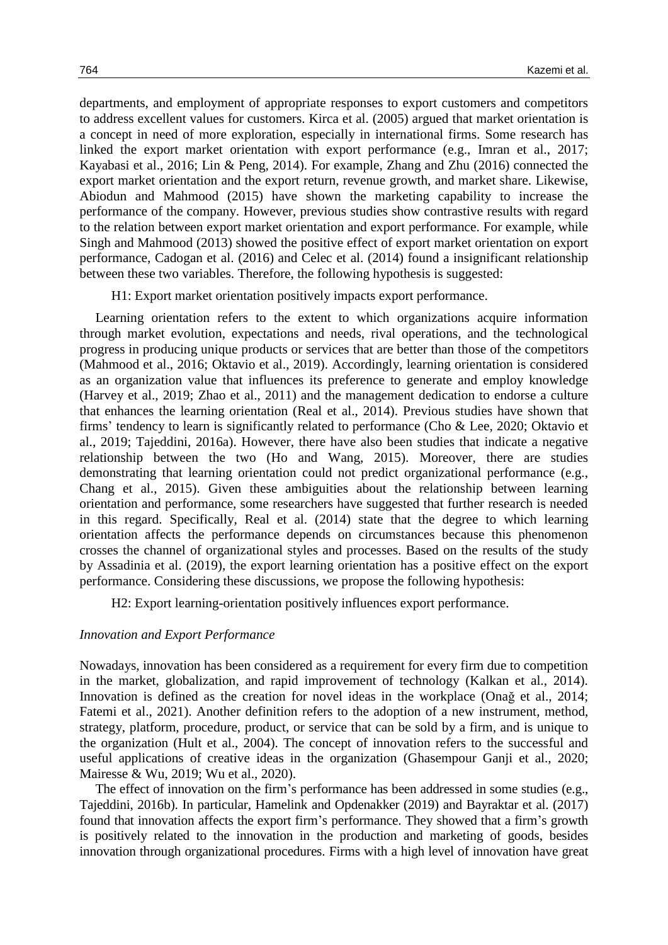departments, and employment of appropriate responses to export customers and competitors to address excellent values for customers. Kirca et al. (2005) argued that market orientation is a concept in need of more exploration, especially in international firms. Some research has linked the export market orientation with export performance (e.g., Imran et al., 2017; Kayabasi et al., 2016; Lin & Peng, 2014). For example, Zhang and Zhu (2016) connected the export market orientation and the export return, revenue growth, and market share. Likewise, Abiodun and Mahmood (2015) have shown the marketing capability to increase the performance of the company. However, previous studies show contrastive results with regard to the relation between export market orientation and export performance. For example, while Singh and Mahmood (2013) showed the positive effect of export market orientation on export performance, Cadogan et al. (2016) and Celec et al. (2014) found a insignificant relationship between these two variables. Therefore, the following hypothesis is suggested:

H1: Export market orientation positively impacts export performance.

Learning orientation refers to the extent to which organizations acquire information through market evolution, expectations and needs, rival operations, and the technological progress in producing unique products or services that are better than those of the competitors (Mahmood et al., 2016; Oktavio et al., 2019). Accordingly, learning orientation is considered as an organization value that influences its preference to generate and employ knowledge (Harvey et al., 2019; Zhao et al., 2011) and the management dedication to endorse a culture that enhances the learning orientation (Real et al., 2014). Previous studies have shown that firms' tendency to learn is significantly related to performance (Cho & Lee, 2020; Oktavio et al., 2019; Tajeddini, 2016a). However, there have also been studies that indicate a negative relationship between the two (Ho and Wang, 2015). Moreover, there are studies demonstrating that learning orientation could not predict organizational performance (e.g., Chang et al., 2015). Given these ambiguities about the relationship between learning orientation and performance, some researchers have suggested that further research is needed in this regard. Specifically, Real et al. (2014) state that the degree to which learning orientation affects the performance depends on circumstances because this phenomenon crosses the channel of organizational styles and processes. Based on the results of the study by Assadinia et al. (2019), the export learning orientation has a positive effect on the export performance. Considering these discussions, we propose the following hypothesis:

H2: Export learning-orientation positively influences export performance.

## *Innovation and Export Performance*

Nowadays, innovation has been considered as a requirement for every firm due to competition in the market, globalization, and rapid improvement of technology (Kalkan et al., 2014). Innovation is defined as the creation for novel ideas in the workplace (Onağ et al., 2014; Fatemi et al., 2021). Another definition refers to the adoption of a new instrument, method, strategy, platform, procedure, product, or service that can be sold by a firm, and is unique to the organization (Hult et al., 2004). The concept of innovation refers to the successful and useful applications of creative ideas in the organization (Ghasempour Ganji et al., 2020; Mairesse & Wu, 2019; Wu et al., 2020).

The effect of innovation on the firm's performance has been addressed in some studies (e.g., Tajeddini, 2016b). In particular, Hamelink and Opdenakker (2019) and Bayraktar et al. (2017) found that innovation affects the export firm's performance. They showed that a firm's growth is positively related to the innovation in the production and marketing of goods, besides innovation through organizational procedures. Firms with a high level of innovation have great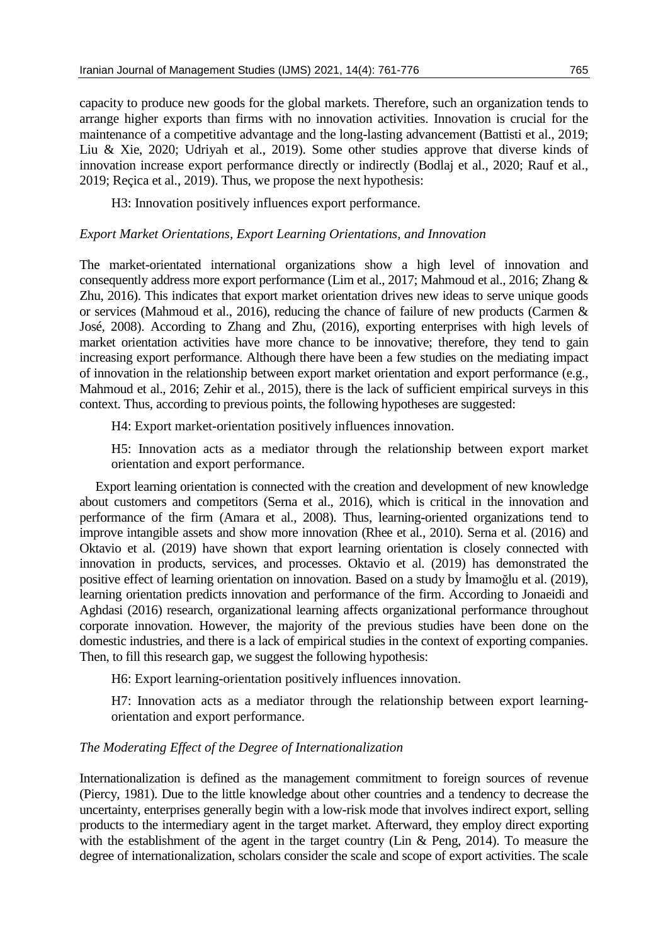capacity to produce new goods for the global markets. Therefore, such an organization tends to arrange higher exports than firms with no innovation activities. Innovation is crucial for the maintenance of a competitive advantage and the long-lasting advancement (Battisti et al., 2019; Liu & Xie, 2020; Udriyah et al., 2019). Some other studies approve that diverse kinds of innovation increase export performance directly or indirectly (Bodlaj et al., 2020; Rauf et al., 2019; Reçica et al., 2019). Thus, we propose the next hypothesis:

H3: Innovation positively influences export performance.

## *Export Market Orientations, Export Learning Orientations, and Innovation*

The market-orientated international organizations show a high level of innovation and consequently address more export performance (Lim et al., 2017; Mahmoud et al., 2016; Zhang & Zhu, 2016). This indicates that export market orientation drives new ideas to serve unique goods or services (Mahmoud et al., 2016), reducing the chance of failure of new products (Carmen & José, 2008). According to Zhang and Zhu, (2016), exporting enterprises with high levels of market orientation activities have more chance to be innovative; therefore, they tend to gain increasing export performance. Although there have been a few studies on the mediating impact of innovation in the relationship between export market orientation and export performance (e.g., Mahmoud et al., 2016; Zehir et al., 2015), there is the lack of sufficient empirical surveys in this context. Thus, according to previous points, the following hypotheses are suggested:

H4: Export market-orientation positively influences innovation.

H5: Innovation acts as a mediator through the relationship between export market orientation and export performance.

Export learning orientation is connected with the creation and development of new knowledge about customers and competitors (Serna et al., 2016), which is critical in the innovation and performance of the firm (Amara et al., 2008). Thus, learning-oriented organizations tend to improve intangible assets and show more innovation (Rhee et al., 2010). Serna et al. (2016) and Oktavio et al. (2019) have shown that export learning orientation is closely connected with innovation in products, services, and processes. Oktavio et al. (2019) has demonstrated the positive effect of learning orientation on innovation. Based on a study by İmamoğlu et al. (2019), learning orientation predicts innovation and performance of the firm. According to Jonaeidi and Aghdasi (2016) research, organizational learning affects organizational performance throughout corporate innovation. However, the majority of the previous studies have been done on the domestic industries, and there is a lack of empirical studies in the context of exporting companies. Then, to fill this research gap, we suggest the following hypothesis:

H6: Export learning-orientation positively influences innovation.

H7: Innovation acts as a mediator through the relationship between export learningorientation and export performance.

# *The Moderating Effect of the Degree of Internationalization*

Internationalization is defined as the management commitment to foreign sources of revenue (Piercy, 1981). Due to the little knowledge about other countries and a tendency to decrease the uncertainty, enterprises generally begin with a low-risk mode that involves indirect export, selling products to the intermediary agent in the target market. Afterward, they employ direct exporting with the establishment of the agent in the target country (Lin & Peng, 2014). To measure the degree of internationalization, scholars consider the scale and scope of export activities. The scale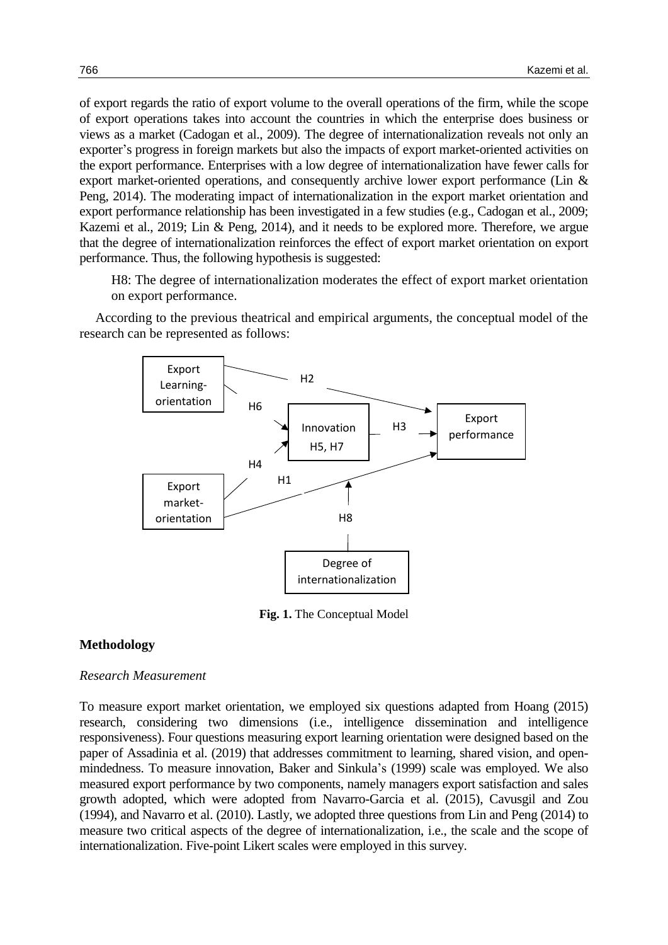of export regards the ratio of export volume to the overall operations of the firm, while the scope of export operations takes into account the countries in which the enterprise does business or views as a market (Cadogan et al., 2009). The degree of internationalization reveals not only an exporter's progress in foreign markets but also the impacts of export market-oriented activities on the export performance. Enterprises with a low degree of internationalization have fewer calls for export market-oriented operations, and consequently archive lower export performance (Lin & Peng, 2014). The moderating impact of internationalization in the export market orientation and export performance relationship has been investigated in a few studies (e.g., Cadogan et al., 2009; Kazemi et al., 2019; Lin & Peng, 2014), and it needs to be explored more. Therefore, we argue that the degree of internationalization reinforces the effect of export market orientation on export performance. Thus, the following hypothesis is suggested:

H8: The degree of internationalization moderates the effect of export market orientation on export performance.

According to the previous theatrical and empirical arguments, the conceptual model of the research can be represented as follows:



**Fig. 1.** The Conceptual Model

# **Methodology**

# *Research Measurement*

To measure export market orientation, we employed six questions adapted from Hoang (2015) research, considering two dimensions (i.e., intelligence dissemination and intelligence responsiveness). Four questions measuring export learning orientation were designed based on the paper of Assadinia et al. (2019) that addresses commitment to learning, shared vision, and openmindedness. To measure innovation, Baker and Sinkula's (1999) scale was employed. We also measured export performance by two components, namely managers export satisfaction and sales growth adopted, which were adopted from Navarro-Garcia et al. (2015), Cavusgil and Zou (1994), and Navarro et al. (2010). Lastly, we adopted three questions from Lin and Peng (2014) to measure two critical aspects of the degree of internationalization, i.e., the scale and the scope of internationalization. Five-point Likert scales were employed in this survey.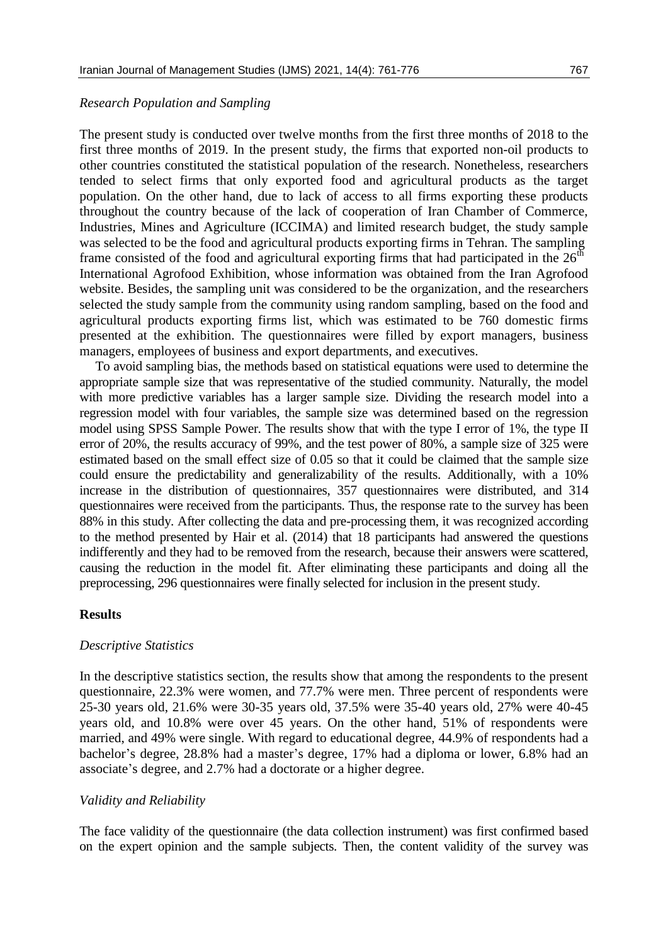#### *Research Population and Sampling*

The present study is conducted over twelve months from the first three months of 2018 to the first three months of 2019. In the present study, the firms that exported non-oil products to other countries constituted the statistical population of the research. Nonetheless, researchers tended to select firms that only exported food and agricultural products as the target population. On the other hand, due to lack of access to all firms exporting these products throughout the country because of the lack of cooperation of Iran Chamber of Commerce, Industries, Mines and Agriculture (ICCIMA) and limited research budget, the study sample was selected to be the food and agricultural products exporting firms in Tehran. The sampling frame consisted of the food and agricultural exporting firms that had participated in the  $26<sup>th</sup>$ International Agrofood Exhibition, whose information was obtained from the Iran Agrofood website. Besides, the sampling unit was considered to be the organization, and the researchers selected the study sample from the community using random sampling, based on the food and agricultural products exporting firms list, which was estimated to be 760 domestic firms presented at the exhibition. The questionnaires were filled by export managers, business managers, employees of business and export departments, and executives.

To avoid sampling bias, the methods based on statistical equations were used to determine the appropriate sample size that was representative of the studied community. Naturally, the model with more predictive variables has a larger sample size. Dividing the research model into a regression model with four variables, the sample size was determined based on the regression model using SPSS Sample Power. The results show that with the type I error of 1%, the type II error of 20%, the results accuracy of 99%, and the test power of 80%, a sample size of 325 were estimated based on the small effect size of 0.05 so that it could be claimed that the sample size could ensure the predictability and generalizability of the results. Additionally, with a 10% increase in the distribution of questionnaires, 357 questionnaires were distributed, and 314 questionnaires were received from the participants. Thus, the response rate to the survey has been 88% in this study. After collecting the data and pre-processing them, it was recognized according to the method presented by Hair et al. (2014) that 18 participants had answered the questions indifferently and they had to be removed from the research, because their answers were scattered, causing the reduction in the model fit. After eliminating these participants and doing all the preprocessing, 296 questionnaires were finally selected for inclusion in the present study.

## **Results**

#### *Descriptive Statistics*

In the descriptive statistics section, the results show that among the respondents to the present questionnaire, 22.3% were women, and 77.7% were men. Three percent of respondents were 25-30 years old, 21.6% were 30-35 years old, 37.5% were 35-40 years old, 27% were 40-45 years old, and 10.8% were over 45 years. On the other hand, 51% of respondents were married, and 49% were single. With regard to educational degree, 44.9% of respondents had a bachelor's degree, 28.8% had a master's degree, 17% had a diploma or lower, 6.8% had an associate's degree, and 2.7% had a doctorate or a higher degree.

#### *Validity and Reliability*

The face validity of the questionnaire (the data collection instrument) was first confirmed based on the expert opinion and the sample subjects. Then, the content validity of the survey was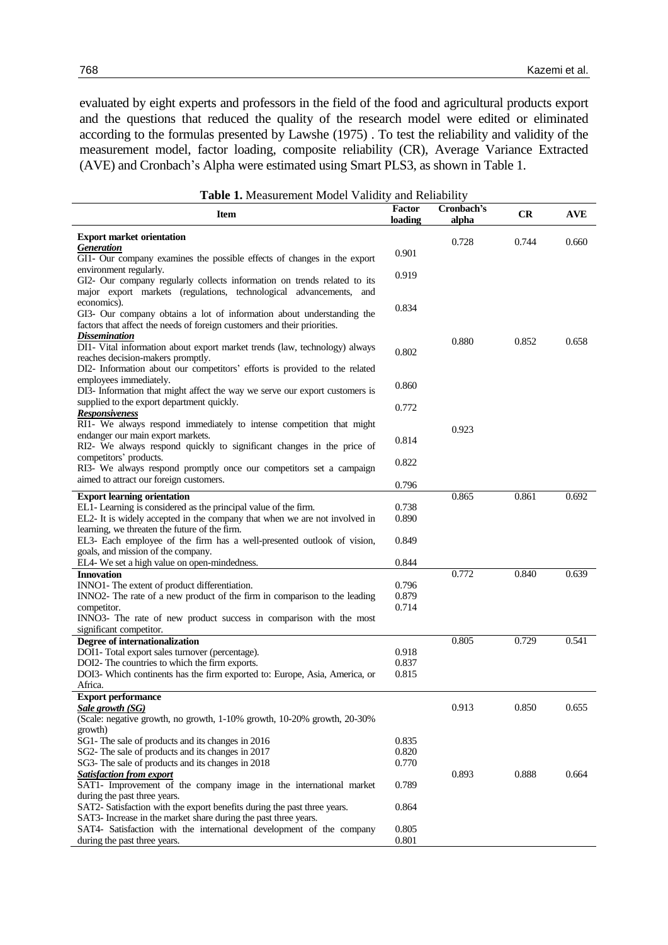evaluated by eight experts and professors in the field of the food and agricultural products export and the questions that reduced the quality of the research model were edited or eliminated according to the formulas presented by Lawshe (1975) . To test the reliability and validity of the measurement model, factor loading, composite reliability (CR), Average Variance Extracted (AVE) and Cronbach's Alpha were estimated using Smart PLS3, as shown in Table 1.

| <b>Table 1.</b> Measurement Model Validity and Reliability                                         |                          |                     |       |            |
|----------------------------------------------------------------------------------------------------|--------------------------|---------------------|-------|------------|
| <b>Item</b>                                                                                        | <b>Factor</b><br>loading | Cronbach's<br>alpha | CR    | <b>AVE</b> |
| <b>Export market orientation</b>                                                                   |                          |                     |       |            |
| <b>Generation</b>                                                                                  | 0.901                    | 0.728               | 0.744 | 0.660      |
| GI1- Our company examines the possible effects of changes in the export                            |                          |                     |       |            |
| environment regularly.                                                                             | 0.919                    |                     |       |            |
| GI2- Our company regularly collects information on trends related to its                           |                          |                     |       |            |
| major export markets (regulations, technological advancements, and                                 |                          |                     |       |            |
| economics).                                                                                        | 0.834                    |                     |       |            |
| GI3- Our company obtains a lot of information about understanding the                              |                          |                     |       |            |
| factors that affect the needs of foreign customers and their priorities.                           |                          |                     |       |            |
| <b>Dissemination</b>                                                                               |                          | 0.880               | 0.852 | 0.658      |
| DI1- Vital information about export market trends (law, technology) always                         | 0.802                    |                     |       |            |
| reaches decision-makers promptly.                                                                  |                          |                     |       |            |
| DI2- Information about our competitors' efforts is provided to the related                         |                          |                     |       |            |
| employees immediately.                                                                             | 0.860                    |                     |       |            |
| DI3- Information that might affect the way we serve our export customers is                        |                          |                     |       |            |
| supplied to the export department quickly.                                                         | 0.772                    |                     |       |            |
| <b>Responsiveness</b>                                                                              |                          |                     |       |            |
| RI1- We always respond immediately to intense competition that might                               |                          | 0.923               |       |            |
| endanger our main export markets.                                                                  | 0.814                    |                     |       |            |
| RI2- We always respond quickly to significant changes in the price of                              |                          |                     |       |            |
| competitors' products.                                                                             | 0.822                    |                     |       |            |
| RI3- We always respond promptly once our competitors set a campaign                                |                          |                     |       |            |
| aimed to attract our foreign customers.                                                            | 0.796                    |                     |       |            |
| <b>Export learning orientation</b>                                                                 |                          | 0.865               | 0.861 | 0.692      |
| EL1- Learning is considered as the principal value of the firm.                                    | 0.738                    |                     |       |            |
| EL2- It is widely accepted in the company that when we are not involved in                         | 0.890                    |                     |       |            |
| learning, we threaten the future of the firm.                                                      |                          |                     |       |            |
| EL3- Each employee of the firm has a well-presented outlook of vision,                             | 0.849                    |                     |       |            |
| goals, and mission of the company.                                                                 |                          |                     |       |            |
| EL4- We set a high value on open-mindedness.                                                       | 0.844                    |                     |       |            |
| <b>Innovation</b>                                                                                  |                          | 0.772               | 0.840 | 0.639      |
| INNO1- The extent of product differentiation.                                                      | 0.796                    |                     |       |            |
| INNO2- The rate of a new product of the firm in comparison to the leading                          | 0.879                    |                     |       |            |
| competitor.                                                                                        | 0.714                    |                     |       |            |
| INNO3- The rate of new product success in comparison with the most                                 |                          |                     |       |            |
| significant competitor.                                                                            |                          |                     |       |            |
| Degree of internationalization                                                                     |                          | 0.805               | 0.729 | 0.541      |
| DOI1- Total export sales turnover (percentage).                                                    | 0.918                    |                     |       |            |
| DOI2- The countries to which the firm exports.                                                     | 0.837                    |                     |       |            |
| DOI3- Which continents has the firm exported to: Europe, Asia, America, or                         | 0.815                    |                     |       |            |
| Africa.                                                                                            |                          |                     |       |            |
| <b>Export performance</b>                                                                          |                          | 0.913               | 0.850 | 0.655      |
| <b>Sale growth (SG)</b><br>(Scale: negative growth, no growth, 1-10% growth, 10-20% growth, 20-30% |                          |                     |       |            |
| growth)                                                                                            |                          |                     |       |            |
| SG1- The sale of products and its changes in 2016                                                  | 0.835                    |                     |       |            |
| SG2- The sale of products and its changes in 2017                                                  | 0.820                    |                     |       |            |
| SG3- The sale of products and its changes in 2018                                                  | 0.770                    |                     |       |            |
| <b>Satisfaction from export</b>                                                                    |                          | 0.893               | 0.888 | 0.664      |
| SAT1- Improvement of the company image in the international market                                 | 0.789                    |                     |       |            |
| during the past three years.                                                                       |                          |                     |       |            |
| SAT2- Satisfaction with the export benefits during the past three years.                           | 0.864                    |                     |       |            |
| SAT3- Increase in the market share during the past three years.                                    |                          |                     |       |            |
| SAT4- Satisfaction with the international development of the company                               | 0.805                    |                     |       |            |
| during the past three years.                                                                       | 0.801                    |                     |       |            |

**Table 1.** Measurement Model Validity and Reliability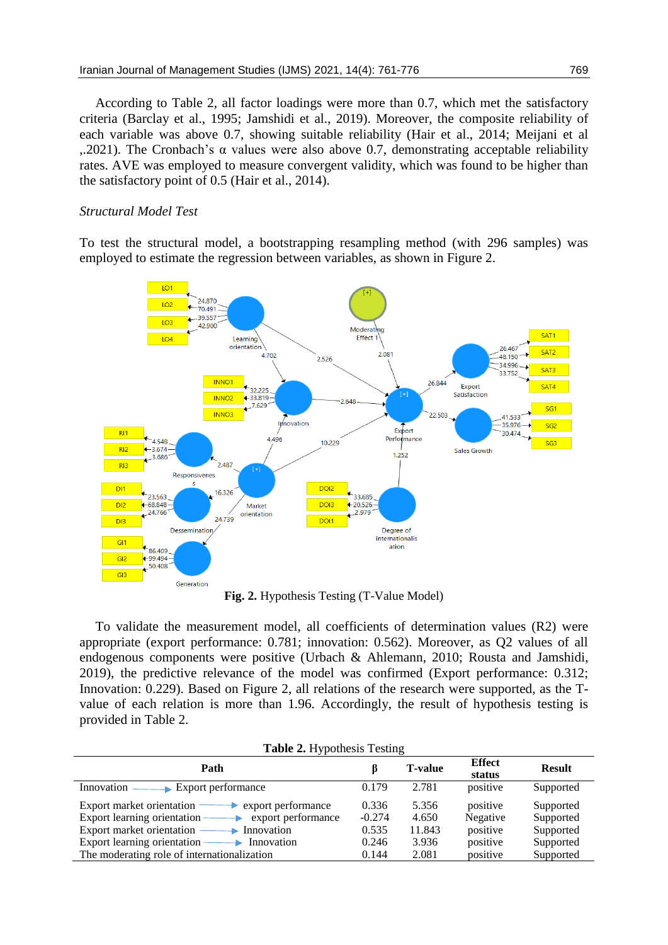According to Table 2, all factor loadings were more than 0.7, which met the satisfactory criteria (Barclay et al., 1995; Jamshidi et al., 2019). Moreover, the composite reliability of each variable was above 0.7, showing suitable reliability (Hair et al., 2014; Meijani et al ,.2021). The Cronbach's α values were also above 0.7, demonstrating acceptable reliability rates. AVE was employed to measure convergent validity, which was found to be higher than the satisfactory point of 0.5 (Hair et al., 2014).

# *Structural Model Test*

To test the structural model, a bootstrapping resampling method (with 296 samples) was employed to estimate the regression between variables, as shown in Figure 2.



**Fig. 2.** Hypothesis Testing (T-Value Model)

To validate the measurement model, all coefficients of determination values (R2) were appropriate (export performance: 0.781; innovation: 0.562). Moreover, as Q2 values of all endogenous components were positive (Urbach & Ahlemann, 2010; Rousta and Jamshidi, 2019), the predictive relevance of the model was confirmed (Export performance: 0.312; Innovation: 0.229). Based on Figure 2, all relations of the research were supported, as the Tvalue of each relation is more than 1.96. Accordingly, the result of hypothesis testing is provided in Table 2.

| <b>Table 2.</b> Hypothesis Testing |  |
|------------------------------------|--|
|                                    |  |

| Path                                                |          | <b>T-value</b> | <b>Effect</b><br>status | <b>Result</b> |
|-----------------------------------------------------|----------|----------------|-------------------------|---------------|
| Export performance<br>Innovation                    | 0.179    | 2.781          | positive                | Supported     |
| Export market orientation<br>export performance     | 0.336    | 5.356          | positive                | Supported     |
| Export learning orientation -<br>export performance | $-0.274$ | 4.650          | Negative                | Supported     |
| Export market orientation<br>Innovation             | 0.535    | 11.843         | positive                | Supported     |
| Export learning orientation -<br>Innovation         | 0.246    | 3.936          | positive                | Supported     |
| The moderating role of internationalization         | 0.144    | 2.081          | positive                | Supported     |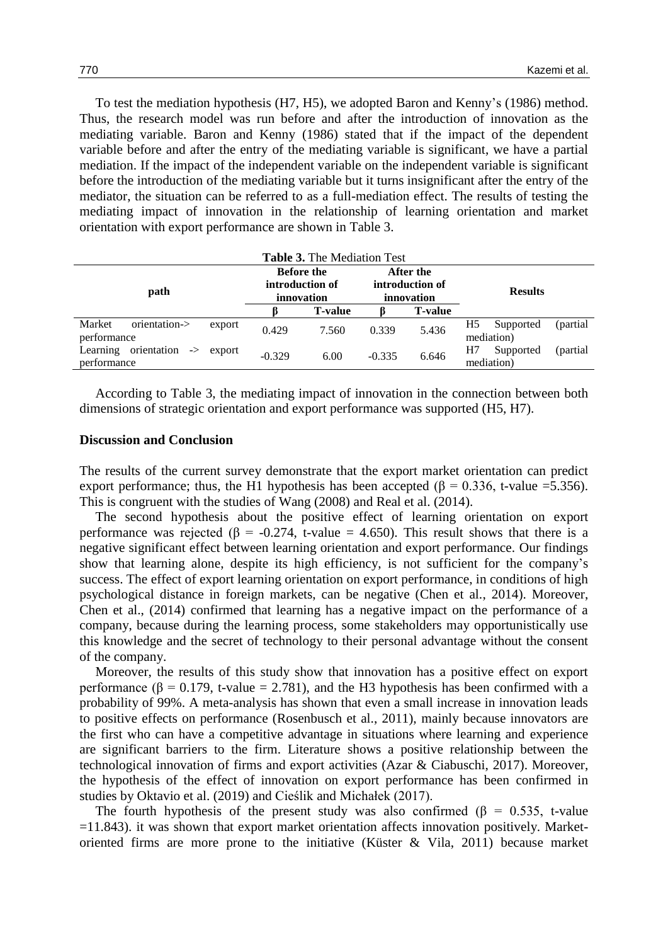To test the mediation hypothesis (H7, H5), we adopted Baron and Kenny's (1986) method. Thus, the research model was run before and after the introduction of innovation as the mediating variable. Baron and Kenny (1986) stated that if the impact of the dependent variable before and after the entry of the mediating variable is significant, we have a partial mediation. If the impact of the independent variable on the independent variable is significant before the introduction of the mediating variable but it turns insignificant after the entry of the mediator, the situation can be referred to as a full-mediation effect. The results of testing the mediating impact of innovation in the relationship of learning orientation and market orientation with export performance are shown in Table 3.

| <b>Table 3.</b> The Mediation Test                                |          |                                                    |          |                                            |                                            |  |
|-------------------------------------------------------------------|----------|----------------------------------------------------|----------|--------------------------------------------|--------------------------------------------|--|
| path                                                              |          | <b>Before the</b><br>introduction of<br>innovation |          | After the<br>introduction of<br>innovation | <b>Results</b>                             |  |
|                                                                   |          | <b>T-value</b>                                     |          | <b>T-value</b>                             |                                            |  |
| Market<br>orientation-><br>export<br>performance                  | 0.429    | 7.560                                              | 0.339    | 5.436                                      | H5<br>(partial)<br>Supported<br>mediation) |  |
| orientation<br>Learning<br>$\rightarrow$<br>export<br>performance | $-0.329$ | 6.00                                               | $-0.335$ | 6.646                                      | (partial)<br>Supported<br>H7<br>mediation) |  |

According to Table 3, the mediating impact of innovation in the connection between both dimensions of strategic orientation and export performance was supported (H5, H7).

#### **Discussion and Conclusion**

The results of the current survey demonstrate that the export market orientation can predict export performance; thus, the H1 hypothesis has been accepted ( $\beta = 0.336$ , t-value =5.356). This is congruent with the studies of Wang (2008) and Real et al. (2014).

The second hypothesis about the positive effect of learning orientation on export performance was rejected ( $\beta$  = -0.274, t-value = 4.650). This result shows that there is a negative significant effect between learning orientation and export performance. Our findings show that learning alone, despite its high efficiency, is not sufficient for the company's success. The effect of export learning orientation on export performance, in conditions of high psychological distance in foreign markets, can be negative (Chen et al., 2014). Moreover, Chen et al., (2014) confirmed that learning has a negative impact on the performance of a company, because during the learning process, some stakeholders may opportunistically use this knowledge and the secret of technology to their personal advantage without the consent of the company.

Moreover, the results of this study show that innovation has a positive effect on export performance ( $\beta$  = 0.179, t-value = 2.781), and the H3 hypothesis has been confirmed with a probability of 99%. A meta-analysis has shown that even a small increase in innovation leads to positive effects on performance (Rosenbusch et al., 2011), mainly because innovators are the first who can have a competitive advantage in situations where learning and experience are significant barriers to the firm. Literature shows a positive relationship between the technological innovation of firms and export activities (Azar & Ciabuschi, 2017). Moreover, the hypothesis of the effect of innovation on export performance has been confirmed in studies by Oktavio et al. (2019) and Cieślik and Michałek (2017).

The fourth hypothesis of the present study was also confirmed ( $\beta$  = 0.535, t-value  $=$ 11.843). it was shown that export market orientation affects innovation positively. Marketoriented firms are more prone to the initiative (Küster & Vila, 2011) because market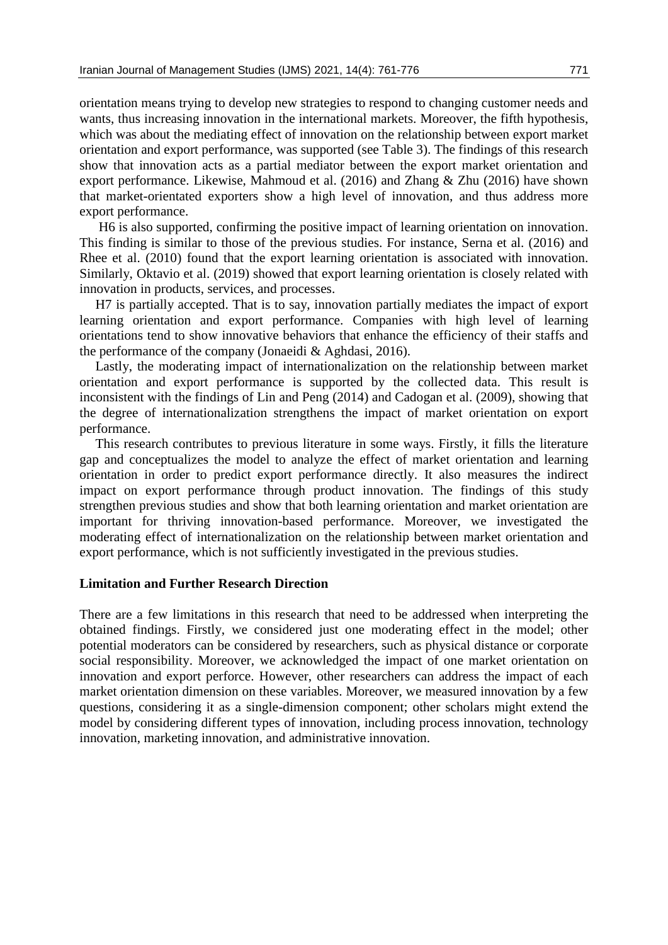orientation means trying to develop new strategies to respond to changing customer needs and wants, thus increasing innovation in the international markets. Moreover, the fifth hypothesis, which was about the mediating effect of innovation on the relationship between export market orientation and export performance, was supported (see Table 3). The findings of this research show that innovation acts as a partial mediator between the export market orientation and export performance. Likewise, Mahmoud et al. (2016) and Zhang & Zhu (2016) have shown that market-orientated exporters show a high level of innovation, and thus address more export performance.

H6 is also supported, confirming the positive impact of learning orientation on innovation. This finding is similar to those of the previous studies. For instance, Serna et al. (2016) and Rhee et al. (2010) found that the export learning orientation is associated with innovation. Similarly, Oktavio et al. (2019) showed that export learning orientation is closely related with innovation in products, services, and processes.

H7 is partially accepted. That is to say, innovation partially mediates the impact of export learning orientation and export performance. Companies with high level of learning orientations tend to show innovative behaviors that enhance the efficiency of their staffs and the performance of the company (Jonaeidi & Aghdasi, 2016).

Lastly, the moderating impact of internationalization on the relationship between market orientation and export performance is supported by the collected data. This result is inconsistent with the findings of Lin and Peng (2014) and Cadogan et al. (2009), showing that the degree of internationalization strengthens the impact of market orientation on export performance.

This research contributes to previous literature in some ways. Firstly, it fills the literature gap and conceptualizes the model to analyze the effect of market orientation and learning orientation in order to predict export performance directly. It also measures the indirect impact on export performance through product innovation. The findings of this study strengthen previous studies and show that both learning orientation and market orientation are important for thriving innovation-based performance. Moreover, we investigated the moderating effect of internationalization on the relationship between market orientation and export performance, which is not sufficiently investigated in the previous studies.

# **Limitation and Further Research Direction**

There are a few limitations in this research that need to be addressed when interpreting the obtained findings. Firstly, we considered just one moderating effect in the model; other potential moderators can be considered by researchers, such as physical distance or corporate social responsibility. Moreover, we acknowledged the impact of one market orientation on innovation and export perforce. However, other researchers can address the impact of each market orientation dimension on these variables. Moreover, we measured innovation by a few questions, considering it as a single-dimension component; other scholars might extend the model by considering different types of innovation, including process innovation, technology innovation, marketing innovation, and administrative innovation.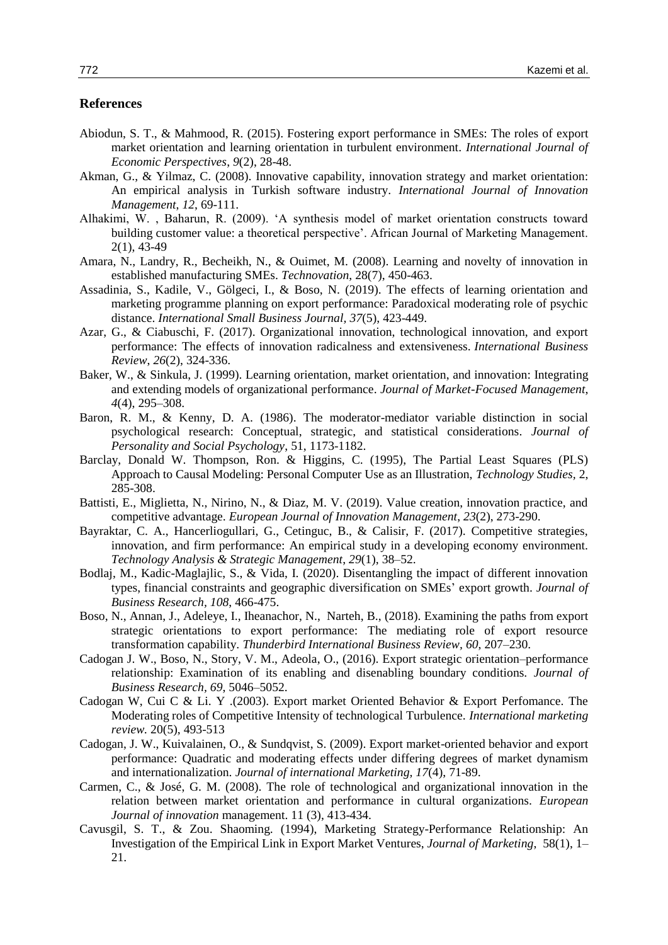# **References**

- Abiodun, S. T., & Mahmood, R. (2015). Fostering export performance in SMEs: The roles of export market orientation and learning orientation in turbulent environment. *International Journal of Economic Perspectives*, *9*(2), 28-48.
- Akman, G., & Yilmaz, C. (2008). Innovative capability, innovation strategy and market orientation: An empirical analysis in Turkish software industry. *International Journal of Innovation Management*, *12*, 69-111.
- Alhakimi, W. , Baharun, R. (2009). 'A synthesis model of market orientation constructs toward building customer value: a theoretical perspective'. African Journal of Marketing Management. 2(1), 43-49
- Amara, N., Landry, R., Becheikh, N., & Ouimet, M. (2008). Learning and novelty of innovation in established manufacturing SMEs. *Technovation*, 28(7), 450-463.
- Assadinia, S., Kadile, V., Gölgeci, I., & Boso, N. (2019). The effects of learning orientation and marketing programme planning on export performance: Paradoxical moderating role of psychic distance. *International Small Business Journal, 37*(5), 423-449.
- Azar, G., & Ciabuschi, F. (2017). Organizational innovation, technological innovation, and export performance: The effects of innovation radicalness and extensiveness. *International Business Review*, *26*(2), 324-336.
- Baker, W., & Sinkula, J. (1999). Learning orientation, market orientation, and innovation: Integrating and extending models of organizational performance. *Journal of Market-Focused Management*, *4*(4), 295–308.
- Baron, R. M., & Kenny, D. A. (1986). The moderator-mediator variable distinction in social psychological research: Conceptual, strategic, and statistical considerations*. Journal of Personality and Social Psychology*, 51, 1173-1182.
- Barclay, Donald W. Thompson, Ron. & Higgins, C. (1995), The Partial Least Squares (PLS) Approach to Causal Modeling: Personal Computer Use as an Illustration, *Technology Studies,* 2, 285-308.
- Battisti, E., Miglietta, N., Nirino, N., & Diaz, M. V. (2019). Value creation, innovation practice, and competitive advantage. *European Journal of Innovation Management*, *23*(2), 273-290.
- Bayraktar, C. A., Hancerliogullari, G., Cetinguc, B., & Calisir, F. (2017). Competitive strategies, innovation, and firm performance: An empirical study in a developing economy environment. *Technology Analysis & Strategic Management*, *29*(1), 38–52.
- Bodlaj, M., Kadic-Maglajlic, S., & Vida, I. (2020). Disentangling the impact of different innovation types, financial constraints and geographic diversification on SMEs' export growth. *Journal of Business Research, 108*, 466-475.
- Boso, N., Annan, J., Adeleye, I., Iheanachor, N., Narteh, B., (2018). Examining the paths from export strategic orientations to export performance: The mediating role of export resource transformation capability. *Thunderbird International Business Review, 60*, 207–230.
- Cadogan J. W., Boso, N., Story, V. M., Adeola, O., (2016). Export strategic orientation–performance relationship: Examination of its enabling and disenabling boundary conditions. *Journal of Business Research, 69*, 5046–5052.
- Cadogan W, Cui C & Li. Y .(2003). Export market Oriented Behavior & Export Perfomance. The Moderating roles of Competitive Intensity of technological Turbulence. *International marketing review.* 20(5), 493-513
- Cadogan, J. W., Kuivalainen, O., & Sundqvist, S. (2009). Export market-oriented behavior and export performance: Quadratic and moderating effects under differing degrees of market dynamism and internationalization. *Journal of international Marketing, 17*(4), 71-89.
- Carmen, C., & José, G. M. (2008). The role of technological and organizational innovation in the relation between market orientation and performance in cultural organizations. *European Journal of innovation* management. 11 (3), 413-434.
- Cavusgil, S. T., & Zou. Shaoming. (1994), Marketing Strategy-Performance Relationship: An Investigation of the Empirical Link in Export Market Ventures, *Journal of Marketing*, 58(1), 1– 21.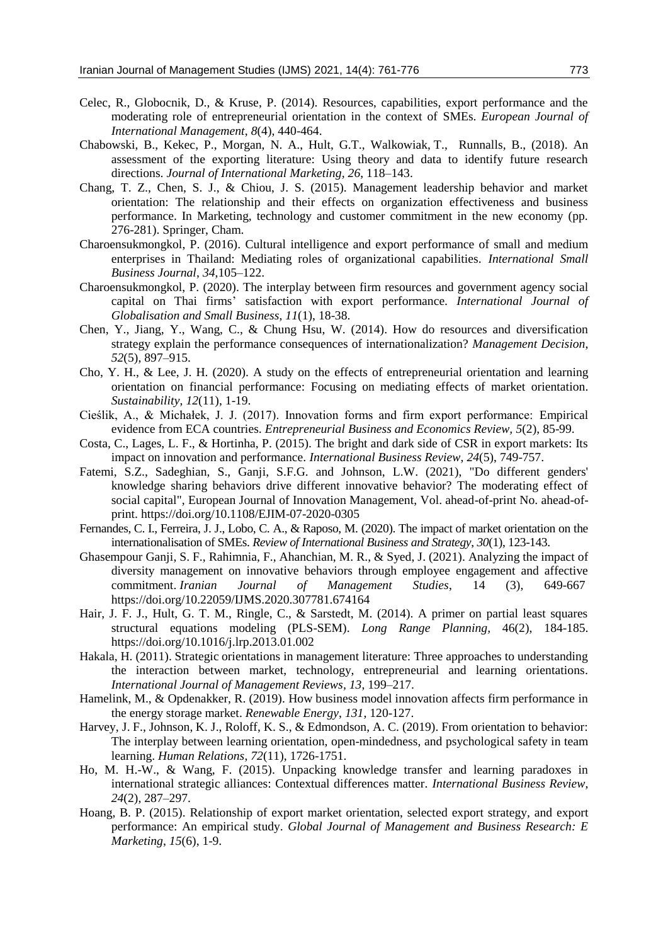- Celec, R., Globocnik, D., & Kruse, P. (2014). Resources, capabilities, export performance and the moderating role of entrepreneurial orientation in the context of SMEs. *European Journal of International Management*, *8*(4), 440-464.
- Chabowski, B., Kekec, P., Morgan, N. A., Hult, G.T., Walkowiak, T., Runnalls, B., (2018). An assessment of the exporting literature: Using theory and data to identify future research directions. *Journal of International Marketing, 26*, 118–143.
- Chang, T. Z., Chen, S. J., & Chiou, J. S. (2015). Management leadership behavior and market orientation: The relationship and their effects on organization effectiveness and business performance. In Marketing, technology and customer commitment in the new economy (pp. 276-281). Springer, Cham.
- Charoensukmongkol, P. (2016). Cultural intelligence and export performance of small and medium enterprises in Thailand: Mediating roles of organizational capabilities. *International Small Business Journal*, *34*,105–122.
- Charoensukmongkol, P. (2020). The interplay between firm resources and government agency social capital on Thai firms' satisfaction with export performance*. International Journal of Globalisation and Small Business*, *11*(1), 18-38.
- Chen, Y., Jiang, Y., Wang, C., & Chung Hsu, W. (2014). How do resources and diversification strategy explain the performance consequences of internationalization? *Management Decision*, *52*(5), 897–915.
- Cho, Y. H., & Lee, J. H. (2020). A study on the effects of entrepreneurial orientation and learning orientation on financial performance: Focusing on mediating effects of market orientation. *Sustainability*, *12*(11), 1-19.
- Cieślik, A., & Michałek, J. J. (2017). Innovation forms and firm export performance: Empirical evidence from ECA countries. *Entrepreneurial Business and Economics Review, 5*(2), 85-99.
- Costa, C., Lages, L. F., & Hortinha, P. (2015). The bright and dark side of CSR in export markets: Its impact on innovation and performance. *International Business Review*, *24*(5), 749-757.
- Fatemi, S.Z., Sadeghian, S., Ganji, S.F.G. and Johnson, L.W. (2021), "Do different genders' knowledge sharing behaviors drive different innovative behavior? The moderating effect of social capital", European Journal of Innovation Management, Vol. ahead-of-print No. ahead-ofprint. https://doi.org/10.1108/EJIM-07-2020-0305
- Fernandes, C. I., Ferreira, J. J., Lobo, C. A., & Raposo, M. (2020). The impact of market orientation on the internationalisation of SMEs. *Review of International Business and Strategy*, *30*(1), 123-143.
- Ghasempour Ganji, S. F., Rahimnia, F., Ahanchian, M. R., & Syed, J. (2021). Analyzing the impact of diversity management on innovative behaviors through employee engagement and affective commitment. *Iranian Journal of Management Studies*, 14 (3), 649-667 https://doi.org/10.22059/IJMS.2020.307781.674164
- Hair, J. F. J., Hult, G. T. M., Ringle, C., & Sarstedt, M. (2014). A primer on partial least squares structural equations modeling (PLS-SEM). *Long Range Planning,* 46(2), 184-185. https://doi.org/10.1016/j.lrp.2013.01.002
- Hakala, H. (2011). Strategic orientations in management literature: Three approaches to understanding the interaction between market, technology, entrepreneurial and learning orientations*. International Journal of Management Reviews, 13*, 199–217.
- Hamelink, M., & Opdenakker, R. (2019). How business model innovation affects firm performance in the energy storage market. *Renewable Energy*, *131*, 120-127.
- Harvey, J. F., Johnson, K. J., Roloff, K. S., & Edmondson, A. C. (2019). From orientation to behavior: The interplay between learning orientation, open-mindedness, and psychological safety in team learning. *Human Relations*, *72*(11), 1726-1751.
- Ho, M. H.-W., & Wang, F. (2015). Unpacking knowledge transfer and learning paradoxes in international strategic alliances: Contextual differences matter. *International Business Review*, *24*(2), 287–297.
- Hoang, B. P. (2015). Relationship of export market orientation, selected export strategy, and export performance: An empirical study. *Global Journal of Management and Business Research: E Marketing*, *15*(6), 1-9.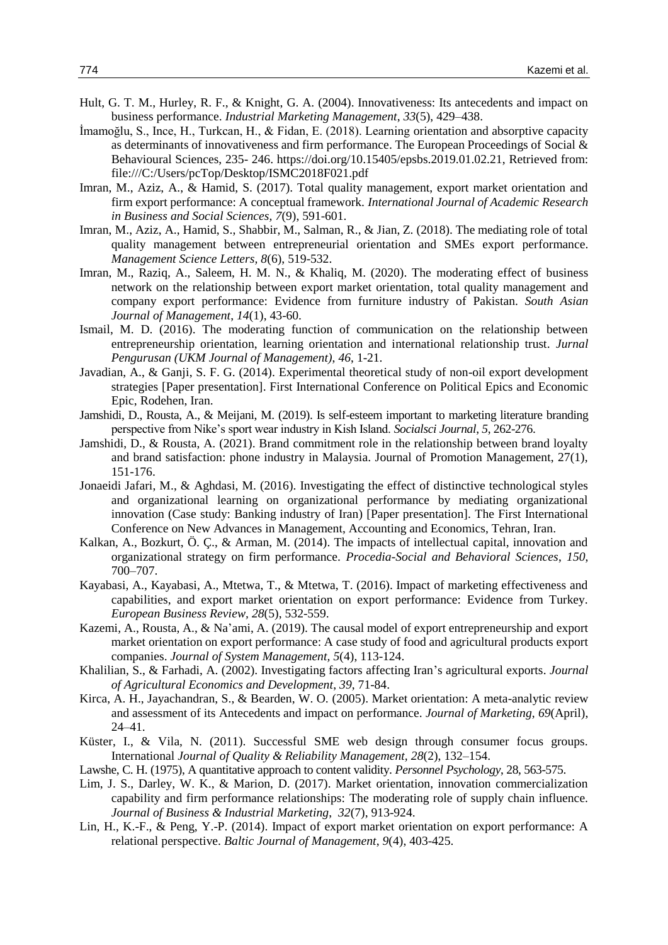- Hult, G. T. M., Hurley, R. F., & Knight, G. A. (2004). Innovativeness: Its antecedents and impact on business performance. *Industrial Marketing Management*, *33*(5), 429–438.
- İmamoğlu, S., Ince, H., Turkcan, H., & Fidan, E. (2018). Learning orientation and absorptive capacity as determinants of innovativeness and firm performance. The European Proceedings of Social & Behavioural Sciences, 235- 246. https://doi.org/10.15405/epsbs.2019.01.02.21, Retrieved from: file:///C:/Users/pcTop/Desktop/ISMC2018F021.pdf
- Imran, M., Aziz, A., & Hamid, S. (2017). Total quality management, export market orientation and firm export performance: A conceptual framework. *International Journal of Academic Research in Business and Social Sciences, 7*(9), 591-601.
- Imran, M., Aziz, A., Hamid, S., Shabbir, M., Salman, R., & Jian, Z. (2018). The mediating role of total quality management between entrepreneurial orientation and SMEs export performance. *Management Science Letters, 8*(6), 519-532.
- Imran, M., Raziq, A., Saleem, H. M. N., & Khaliq, M. (2020). The moderating effect of business network on the relationship between export market orientation, total quality management and company export performance: Evidence from furniture industry of Pakistan. *South Asian Journal of Management*, *14*(1), 43-60.
- Ismail, M. D. (2016). The moderating function of communication on the relationship between entrepreneurship orientation, learning orientation and international relationship trust. *Jurnal Pengurusan (UKM Journal of Management)*, *46*, 1-21.
- Javadian, A., & Ganji, S. F. G. (2014). Experimental theoretical study of non-oil export development strategies [Paper presentation]. First International Conference on Political Epics and Economic Epic, Rodehen, Iran.
- Jamshidi, D., Rousta, A., & Meijani, M. (2019). Is self-esteem important to marketing literature branding perspective from Nike's sport wear industry in Kish Island. *Socialsci Journal*, *5*, 262-276.
- Jamshidi, D., & Rousta, A. (2021). Brand commitment role in the relationship between brand loyalty and brand satisfaction: phone industry in Malaysia. Journal of Promotion Management, 27(1), 151-176.
- Jonaeidi Jafari, M., & Aghdasi, M. (2016). Investigating the effect of distinctive technological styles and organizational learning on organizational performance by mediating organizational innovation (Case study: Banking industry of Iran) [Paper presentation]. The First International Conference on New Advances in Management, Accounting and Economics, Tehran, Iran.
- Kalkan, A., Bozkurt, Ö. Ç., & Arman, M. (2014). The impacts of intellectual capital, innovation and organizational strategy on firm performance. *Procedia-Social and Behavioral Sciences*, *150*, 700–707.
- Kayabasi, A., Kayabasi, A., Mtetwa, T., & Mtetwa, T. (2016). Impact of marketing effectiveness and capabilities, and export market orientation on export performance: Evidence from Turkey. *European Business Review, 28*(5), 532-559.
- Kazemi, A., Rousta, A., & Na'ami, A. (2019). The causal model of export entrepreneurship and export market orientation on export performance: A case study of food and agricultural products export companies. *Journal of System Management, 5*(4), 113-124.
- Khalilian, S., & Farhadi, A. (2002). Investigating factors affecting Iran's agricultural exports. *Journal of Agricultural Economics and Development*, *39*, 71-84.
- Kirca, A. H., Jayachandran, S., & Bearden, W. O. (2005). Market orientation: A meta-analytic review and assessment of its Antecedents and impact on performance. *Journal of Marketing*, *69*(April), 24–41.
- Küster, I., & Vila, N. (2011). Successful SME web design through consumer focus groups. International *Journal of Quality & Reliability Management, 28*(2), 132–154.
- Lawshe, C. H. (1975), A quantitative approach to content validity. *Personnel Psychology*, 28, 563-575.
- Lim, J. S., Darley, W. K., & Marion, D. (2017). Market orientation, innovation commercialization capability and firm performance relationships: The moderating role of supply chain influence. *Journal of Business & Industrial Marketing*, *32*(7), 913-924.
- Lin, H., K.-F., & Peng, Y.-P. (2014). Impact of export market orientation on export performance: A relational perspective. *Baltic Journal of Management*, *9*(4), 403-425.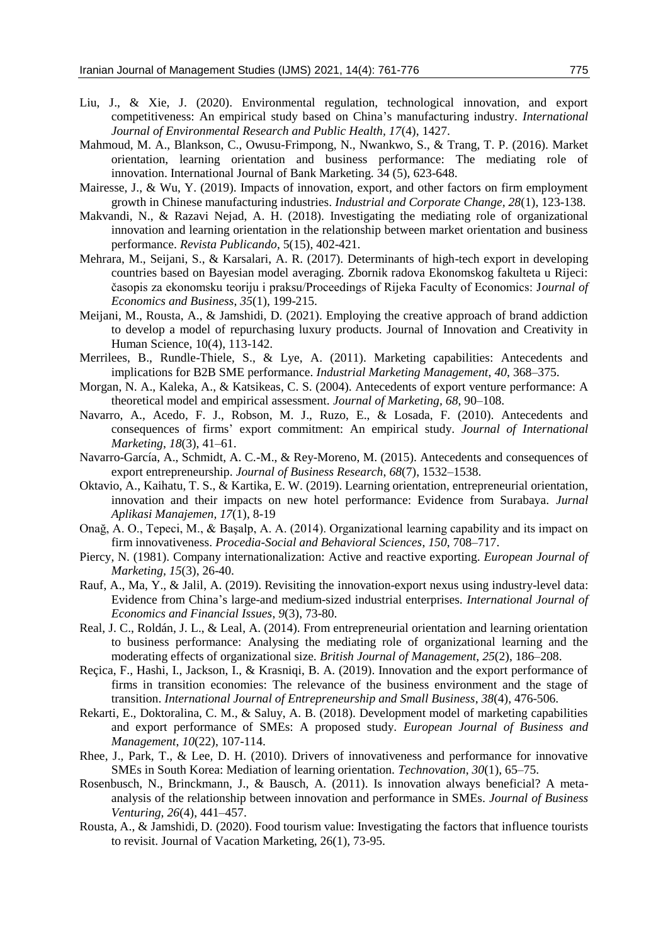- Liu, J., & Xie, J. (2020). Environmental regulation, technological innovation, and export competitiveness: An empirical study based on China's manufacturing industry. *International Journal of Environmental Research and Public Health, 17*(4), 1427.
- Mahmoud, M. A., Blankson, C., Owusu-Frimpong, N., Nwankwo, S., & Trang, T. P. (2016). Market orientation, learning orientation and business performance: The mediating role of innovation. International Journal of Bank Marketing. 34 (5), 623-648.
- Mairesse, J., & Wu, Y. (2019). Impacts of innovation, export, and other factors on firm employment growth in Chinese manufacturing industries. *Industrial and Corporate Change, 28*(1), 123-138.
- Makvandi, N., & Razavi Nejad, A. H. (2018). Investigating the mediating role of organizational innovation and learning orientation in the relationship between market orientation and business performance. *Revista Publicando*, 5(15), 402-421.
- Mehrara, M., Seijani, S., & Karsalari, A. R. (2017). Determinants of high-tech export in developing countries based on Bayesian model averaging. Zbornik radova Ekonomskog fakulteta u Rijeci: časopis za ekonomsku teoriju i praksu/Proceedings of Rijeka Faculty of Economics: J*ournal of Economics and Business*, *35*(1), 199-215.
- Meijani, M., Rousta, A., & Jamshidi, D. (2021). Employing the creative approach of brand addiction to develop a model of repurchasing luxury products. Journal of Innovation and Creativity in Human Science, 10(4), 113-142.
- Merrilees, B., Rundle-Thiele, S., & Lye, A. (2011). Marketing capabilities: Antecedents and implications for B2B SME performance. *Industrial Marketing Management*, *40*, 368–375.
- Morgan, N. A., Kaleka, A., & Katsikeas, C. S. (2004). Antecedents of export venture performance: A theoretical model and empirical assessment. *Journal of Marketing, 68*, 90–108.
- Navarro, A., Acedo, F. J., Robson, M. J., Ruzo, E., & Losada, F. (2010). Antecedents and consequences of firms' export commitment: An empirical study. *Journal of International Marketing*, *18*(3), 41–61.
- Navarro-García, A., Schmidt, A. C.-M., & Rey-Moreno, M. (2015). Antecedents and consequences of export entrepreneurship. *Journal of Business Research*, *68*(7), 1532–1538.
- Oktavio, A., Kaihatu, T. S., & Kartika, E. W. (2019). Learning orientation, entrepreneurial orientation, innovation and their impacts on new hotel performance: Evidence from Surabaya. *Jurnal Aplikasi Manajemen, 17*(1), 8-19
- Onağ, A. O., Tepeci, M., & Başalp, A. A. (2014). Organizational learning capability and its impact on firm innovativeness. *Procedia-Social and Behavioral Sciences*, *150*, 708–717.
- Piercy, N. (1981). Company internationalization: Active and reactive exporting. *European Journal of Marketing, 15*(3), 26-40.
- Rauf, A., Ma, Y., & Jalil, A. (2019). Revisiting the innovation-export nexus using industry-level data: Evidence from China's large-and medium-sized industrial enterprises*. International Journal of Economics and Financial Issues*, *9*(3), 73-80.
- Real, J. C., Roldán, J. L., & Leal, A. (2014). From entrepreneurial orientation and learning orientation to business performance: Analysing the mediating role of organizational learning and the moderating effects of organizational size*. British Journal of Management*, *25*(2), 186–208.
- Reçica, F., Hashi, I., Jackson, I., & Krasniqi, B. A. (2019). Innovation and the export performance of firms in transition economies: The relevance of the business environment and the stage of transition. *International Journal of Entrepreneurship and Small Business*, *38*(4), 476-506.
- Rekarti, E., Doktoralina, C. M., & Saluy, A. B. (2018). Development model of marketing capabilities and export performance of SMEs: A proposed study. *European Journal of Business and Management*, *10*(22), 107-114.
- Rhee, J., Park, T., & Lee, D. H. (2010). Drivers of innovativeness and performance for innovative SMEs in South Korea: Mediation of learning orientation. *Technovation*, *30*(1), 65–75.
- Rosenbusch, N., Brinckmann, J., & Bausch, A. (2011). Is innovation always beneficial? A metaanalysis of the relationship between innovation and performance in SMEs*. Journal of Business Venturing, 26*(4), 441–457.
- Rousta, A., & Jamshidi, D. (2020). Food tourism value: Investigating the factors that influence tourists to revisit. Journal of Vacation Marketing, 26(1), 73-95.